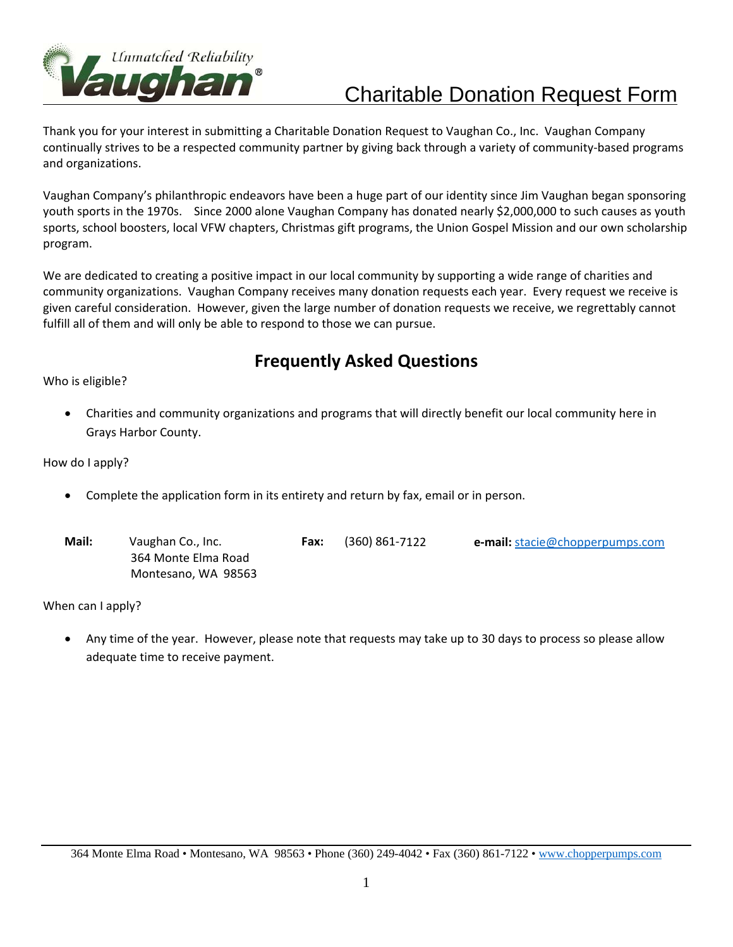

## Charitable Donation Request Form

Thank you for your interest in submitting a Charitable Donation Request to Vaughan Co., Inc. Vaughan Company continually strives to be a respected community partner by giving back through a variety of community‐based programs and organizations.

Vaughan Company's philanthropic endeavors have been a huge part of our identity since Jim Vaughan began sponsoring youth sports in the 1970s. Since 2000 alone Vaughan Company has donated nearly \$2,000,000 to such causes as youth sports, school boosters, local VFW chapters, Christmas gift programs, the Union Gospel Mission and our own scholarship program.

We are dedicated to creating a positive impact in our local community by supporting a wide range of charities and community organizations. Vaughan Company receives many donation requests each year. Every request we receive is given careful consideration. However, given the large number of donation requests we receive, we regrettably cannot fulfill all of them and will only be able to respond to those we can pursue.

## **Frequently Asked Questions**

Who is eligible?

 Charities and community organizations and programs that will directly benefit our local community here in Grays Harbor County.

How do I apply?

Complete the application form in its entirety and return by fax, email or in person.

| Mail: | Vaughan Co., Inc.   | Fax: | (360) 861-7122 | <b>e-mail:</b> stacie@chopperpumps.com |
|-------|---------------------|------|----------------|----------------------------------------|
|       | 364 Monte Elma Road |      |                |                                        |
|       | Montesano, WA 98563 |      |                |                                        |

When can I apply?

 Any time of the year. However, please note that requests may take up to 30 days to process so please allow adequate time to receive payment.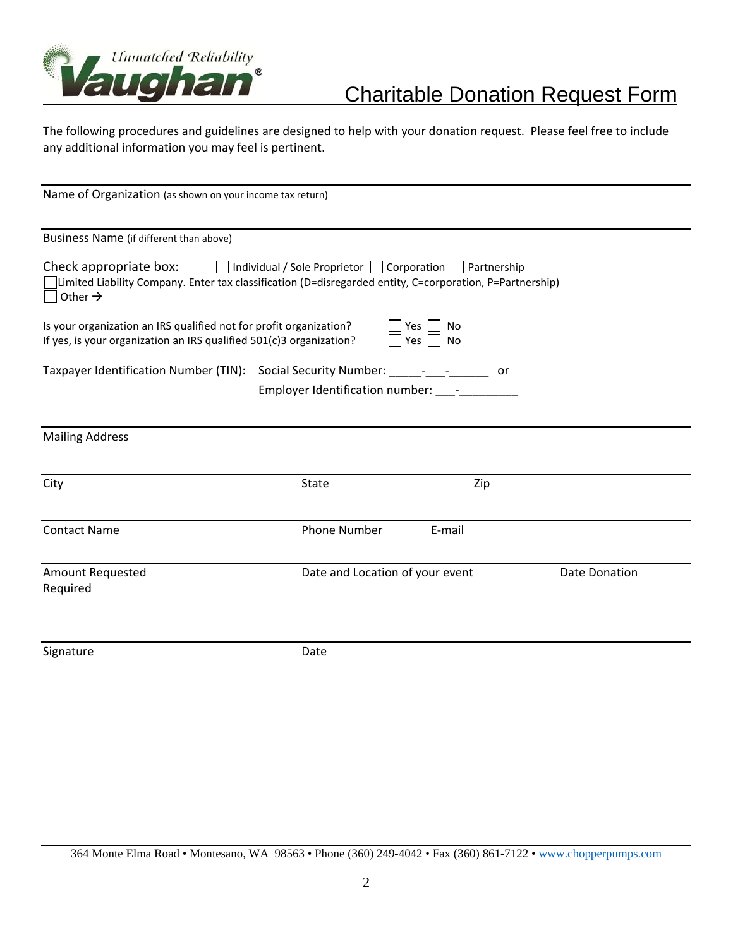

## Charitable Donation Request Form

The following procedures and guidelines are designed to help with your donation request. Please feel free to include any additional information you may feel is pertinent.

| Name of Organization (as shown on your income tax return)                                                                                                 |                                                                           |                                 |  |  |  |  |  |  |
|-----------------------------------------------------------------------------------------------------------------------------------------------------------|---------------------------------------------------------------------------|---------------------------------|--|--|--|--|--|--|
| Business Name (if different than above)                                                                                                                   |                                                                           |                                 |  |  |  |  |  |  |
| Check appropriate box:<br>Limited Liability Company. Enter tax classification (D=disregarded entity, C=corporation, P=Partnership)<br>Other $\rightarrow$ | $\Box$ Individual / Sole Proprietor $\Box$ Corporation $\Box$ Partnership |                                 |  |  |  |  |  |  |
| Is your organization an IRS qualified not for profit organization?<br>If yes, is your organization an IRS qualified 501(c)3 organization?                 |                                                                           | Yes<br>No<br>Yes<br><b>No</b>   |  |  |  |  |  |  |
| Taxpayer Identification Number (TIN): Social Security Number: _____- _________<br>or<br>Employer Identification number: ____-________                     |                                                                           |                                 |  |  |  |  |  |  |
| <b>Mailing Address</b>                                                                                                                                    |                                                                           |                                 |  |  |  |  |  |  |
| City                                                                                                                                                      | <b>State</b>                                                              | Zip                             |  |  |  |  |  |  |
| <b>Contact Name</b>                                                                                                                                       | <b>Phone Number</b>                                                       | E-mail                          |  |  |  |  |  |  |
| <b>Amount Requested</b><br>Required                                                                                                                       |                                                                           | Date and Location of your event |  |  |  |  |  |  |
| Signature                                                                                                                                                 | Date                                                                      |                                 |  |  |  |  |  |  |